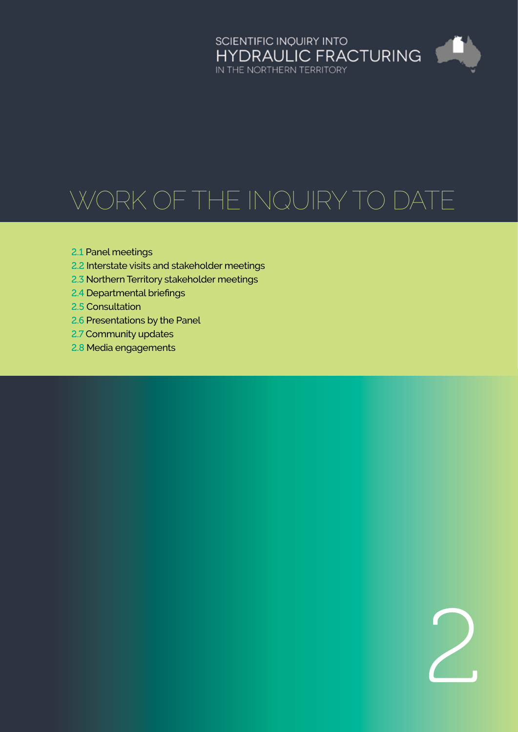

# Work of the Inquiry to date

- 2.1 [Panel meetings](#page-1-0)
- 2.2 [Interstate visits and stakeholder meetings](#page-1-0)
- 2.3 [Northern Territory stakeholder meetings](#page-3-0)
- 2.4 [Departmental briefings](#page-3-0)
- 2.5 [Consultation](#page-3-0)
- 2.6 [Presentations by the Panel](#page-5-0)
- 2.7 [Community updates](#page-5-0)
- 2.8 [Media engagements](#page-5-0)

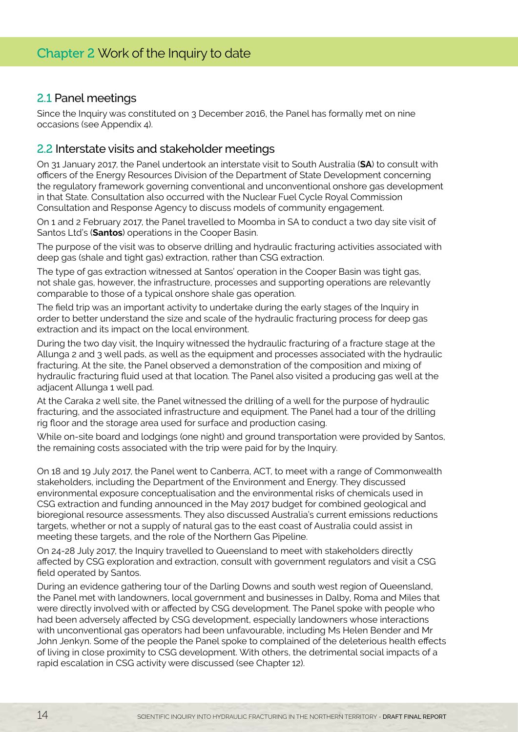#### <span id="page-1-0"></span>2.1 Panel meetings

Since the Inquiry was constituted on 3 December 2016, the Panel has formally met on nine occasions (see Appendix 4).

#### 2.2 Interstate visits and stakeholder meetings

On 31 January 2017, the Panel undertook an interstate visit to South Australia (**SA**) to consult with officers of the Energy Resources Division of the Department of State Development concerning the regulatory framework governing conventional and unconventional onshore gas development in that State. Consultation also occurred with the Nuclear Fuel Cycle Royal Commission Consultation and Response Agency to discuss models of community engagement.

On 1 and 2 February 2017, the Panel travelled to Moomba in SA to conduct a two day site visit of Santos Ltd's (**Santos**) operations in the Cooper Basin.

The purpose of the visit was to observe drilling and hydraulic fracturing activities associated with deep gas (shale and tight gas) extraction, rather than CSG extraction.

The type of gas extraction witnessed at Santos' operation in the Cooper Basin was tight gas, not shale gas, however, the infrastructure, processes and supporting operations are relevantly comparable to those of a typical onshore shale gas operation.

The field trip was an important activity to undertake during the early stages of the Inquiry in order to better understand the size and scale of the hydraulic fracturing process for deep gas extraction and its impact on the local environment.

During the two day visit, the Inquiry witnessed the hydraulic fracturing of a fracture stage at the Allunga 2 and 3 well pads, as well as the equipment and processes associated with the hydraulic fracturing. At the site, the Panel observed a demonstration of the composition and mixing of hydraulic fracturing fluid used at that location. The Panel also visited a producing gas well at the adjacent Allunga 1 well pad.

At the Caraka 2 well site, the Panel witnessed the drilling of a well for the purpose of hydraulic fracturing, and the associated infrastructure and equipment. The Panel had a tour of the drilling rig floor and the storage area used for surface and production casing.

While on-site board and lodgings (one night) and ground transportation were provided by Santos, the remaining costs associated with the trip were paid for by the Inquiry.

On 18 and 19 July 2017, the Panel went to Canberra, ACT, to meet with a range of Commonwealth stakeholders, including the Department of the Environment and Energy. They discussed environmental exposure conceptualisation and the environmental risks of chemicals used in CSG extraction and funding announced in the May 2017 budget for combined geological and bioregional resource assessments. They also discussed Australia's current emissions reductions targets, whether or not a supply of natural gas to the east coast of Australia could assist in meeting these targets, and the role of the Northern Gas Pipeline.

On 24-28 July 2017, the Inquiry travelled to Queensland to meet with stakeholders directly affected by CSG exploration and extraction, consult with government regulators and visit a CSG field operated by Santos.

During an evidence gathering tour of the Darling Downs and south west region of Queensland, the Panel met with landowners, local government and businesses in Dalby, Roma and Miles that were directly involved with or affected by CSG development. The Panel spoke with people who had been adversely affected by CSG development, especially landowners whose interactions with unconventional gas operators had been unfavourable, including Ms Helen Bender and Mr John Jenkyn. Some of the people the Panel spoke to complained of the deleterious health effects of living in close proximity to CSG development. With others, the detrimental social impacts of a rapid escalation in CSG activity were discussed (see Chapter 12).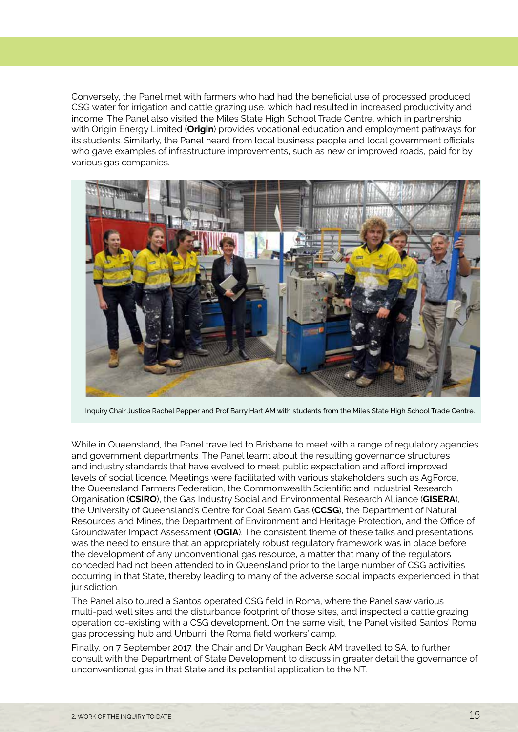Conversely, the Panel met with farmers who had had the beneficial use of processed produced CSG water for irrigation and cattle grazing use, which had resulted in increased productivity and income. The Panel also visited the Miles State High School Trade Centre, which in partnership with Origin Energy Limited (**Origin**) provides vocational education and employment pathways for its students. Similarly, the Panel heard from local business people and local government officials who gave examples of infrastructure improvements, such as new or improved roads, paid for by various gas companies.



Inquiry Chair Justice Rachel Pepper and Prof Barry Hart AM with students from the Miles State High School Trade Centre.

While in Queensland, the Panel travelled to Brisbane to meet with a range of regulatory agencies and government departments. The Panel learnt about the resulting governance structures and industry standards that have evolved to meet public expectation and afford improved levels of social licence. Meetings were facilitated with various stakeholders such as AgForce, the Queensland Farmers Federation, the Commonwealth Scientific and Industrial Research Organisation (**CSIRO**), the Gas Industry Social and Environmental Research Alliance (**GISERA**), the University of Queensland's Centre for Coal Seam Gas (**CCSG**), the Department of Natural Resources and Mines, the Department of Environment and Heritage Protection, and the Office of Groundwater Impact Assessment (**OGIA**). The consistent theme of these talks and presentations was the need to ensure that an appropriately robust regulatory framework was in place before the development of any unconventional gas resource, a matter that many of the regulators conceded had not been attended to in Queensland prior to the large number of CSG activities occurring in that State, thereby leading to many of the adverse social impacts experienced in that jurisdiction.

The Panel also toured a Santos operated CSG field in Roma, where the Panel saw various multi-pad well sites and the disturbance footprint of those sites, and inspected a cattle grazing operation co-existing with a CSG development. On the same visit, the Panel visited Santos' Roma gas processing hub and Unburri, the Roma field workers' camp.

Finally, on 7 September 2017, the Chair and Dr Vaughan Beck AM travelled to SA, to further consult with the Department of State Development to discuss in greater detail the governance of unconventional gas in that State and its potential application to the NT.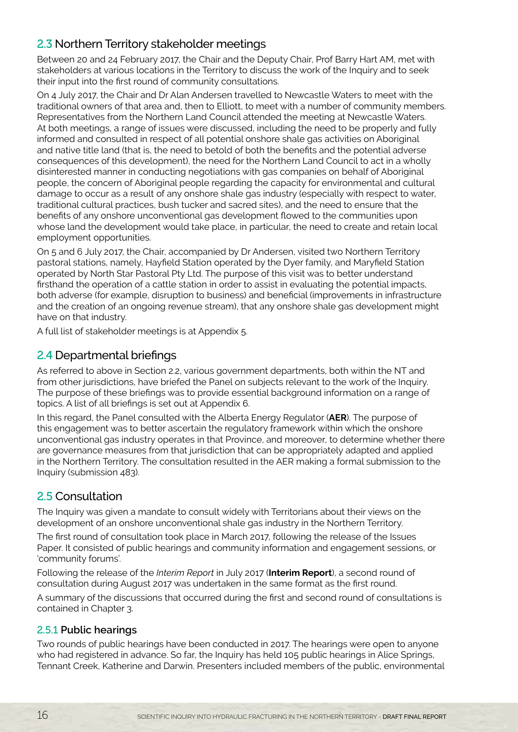## <span id="page-3-0"></span>2.3 Northern Territory stakeholder meetings

Between 20 and 24 February 2017, the Chair and the Deputy Chair, Prof Barry Hart AM, met with stakeholders at various locations in the Territory to discuss the work of the Inquiry and to seek their input into the first round of community consultations.

On 4 July 2017, the Chair and Dr Alan Andersen travelled to Newcastle Waters to meet with the traditional owners of that area and, then to Elliott, to meet with a number of community members. Representatives from the Northern Land Council attended the meeting at Newcastle Waters. At both meetings, a range of issues were discussed, including the need to be properly and fully informed and consulted in respect of all potential onshore shale gas activities on Aboriginal and native title land (that is, the need to betold of both the benefits and the potential adverse consequences of this development), the need for the Northern Land Council to act in a wholly disinterested manner in conducting negotiations with gas companies on behalf of Aboriginal people, the concern of Aboriginal people regarding the capacity for environmental and cultural damage to occur as a result of any onshore shale gas industry (especially with respect to water, traditional cultural practices, bush tucker and sacred sites), and the need to ensure that the benefits of any onshore unconventional gas development flowed to the communities upon whose land the development would take place, in particular, the need to create and retain local employment opportunities.

On 5 and 6 July 2017, the Chair, accompanied by Dr Andersen, visited two Northern Territory pastoral stations, namely, Hayfield Station operated by the Dyer family, and Maryfield Station operated by North Star Pastoral Pty Ltd. The purpose of this visit was to better understand firsthand the operation of a cattle station in order to assist in evaluating the potential impacts, both adverse (for example, disruption to business) and beneficial (improvements in infrastructure and the creation of an ongoing revenue stream), that any onshore shale gas development might have on that industry.

A full list of stakeholder meetings is at Appendix 5.

## 2.4 Departmental briefings

As referred to above in Section 2.2, various government departments, both within the NT and from other jurisdictions, have briefed the Panel on subjects relevant to the work of the Inquiry. The purpose of these briefings was to provide essential background information on a range of topics. A list of all briefings is set out at Appendix 6.

In this regard, the Panel consulted with the Alberta Energy Regulator (**AER**). The purpose of this engagement was to better ascertain the regulatory framework within which the onshore unconventional gas industry operates in that Province, and moreover, to determine whether there are governance measures from that jurisdiction that can be appropriately adapted and applied in the Northern Territory. The consultation resulted in the AER making a formal submission to the Inquiry (submission 483).

## 2.5 Consultation

The Inquiry was given a mandate to consult widely with Territorians about their views on the development of an onshore unconventional shale gas industry in the Northern Territory.

The first round of consultation took place in March 2017, following the release of the Issues Paper. It consisted of public hearings and community information and engagement sessions, or 'community forums'.

Following the release of the *Interim Report* in July 2017 (**Interim Report**), a second round of consultation during August 2017 was undertaken in the same format as the first round.

A summary of the discussions that occurred during the first and second round of consultations is contained in Chapter 3.

#### 2.5.1 **Public hearings**

Two rounds of public hearings have been conducted in 2017. The hearings were open to anyone who had registered in advance. So far, the Inquiry has held 105 public hearings in Alice Springs, Tennant Creek, Katherine and Darwin. Presenters included members of the public, environmental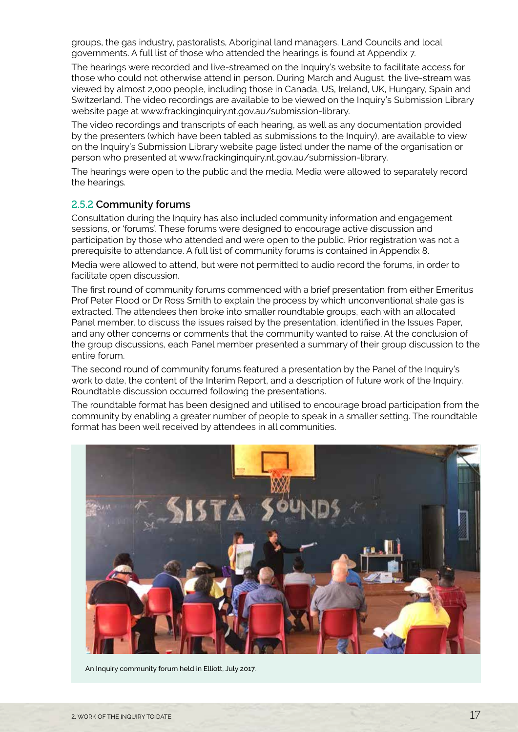groups, the gas industry, pastoralists, Aboriginal land managers, Land Councils and local governments. A full list of those who attended the hearings is found at Appendix 7.

The hearings were recorded and live-streamed on the Inquiry's website to facilitate access for those who could not otherwise attend in person. During March and August, the live-stream was viewed by almost 2,000 people, including those in Canada, US, Ireland, UK, Hungary, Spain and Switzerland. The video recordings are available to be viewed on the Inquiry's Submission Library website page at www.frackinginquiry.nt.gov.au/submission-library.

The video recordings and transcripts of each hearing, as well as any documentation provided by the presenters (which have been tabled as submissions to the Inquiry), are available to view on the Inquiry's Submission Library website page listed under the name of the organisation or person who presented at www.frackinginquiry.nt.gov.au/submission-library.

The hearings were open to the public and the media. Media were allowed to separately record the hearings.

#### 2.5.2 **Community forums**

Consultation during the Inquiry has also included community information and engagement sessions, or 'forums'. These forums were designed to encourage active discussion and participation by those who attended and were open to the public. Prior registration was not a prerequisite to attendance. A full list of community forums is contained in Appendix 8.

Media were allowed to attend, but were not permitted to audio record the forums, in order to facilitate open discussion.

The first round of community forums commenced with a brief presentation from either Emeritus Prof Peter Flood or Dr Ross Smith to explain the process by which unconventional shale gas is extracted. The attendees then broke into smaller roundtable groups, each with an allocated Panel member, to discuss the issues raised by the presentation, identified in the Issues Paper, and any other concerns or comments that the community wanted to raise. At the conclusion of the group discussions, each Panel member presented a summary of their group discussion to the entire forum.

The second round of community forums featured a presentation by the Panel of the Inquiry's work to date, the content of the Interim Report, and a description of future work of the Inquiry. Roundtable discussion occurred following the presentations.

The roundtable format has been designed and utilised to encourage broad participation from the community by enabling a greater number of people to speak in a smaller setting. The roundtable format has been well received by attendees in all communities.



An Inquiry community forum held in Elliott, July 2017.